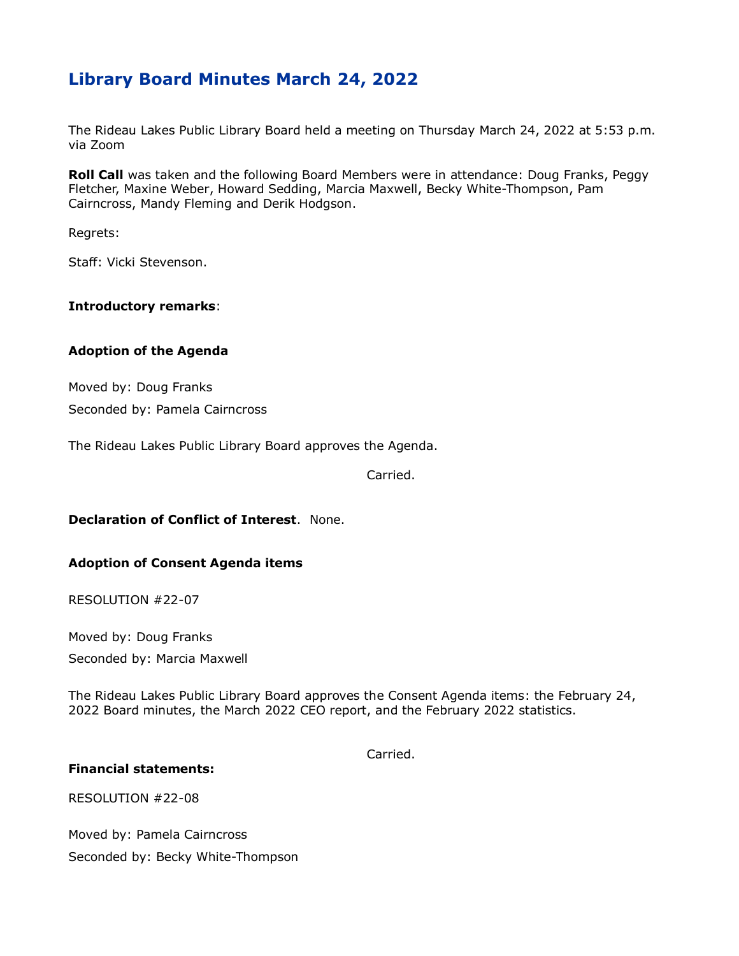# **Library Board Minutes March 24, 2022**

The Rideau Lakes Public Library Board held a meeting on Thursday March 24, 2022 at 5:53 p.m. via Zoom

**Roll Call** was taken and the following Board Members were in attendance: Doug Franks, Peggy Fletcher, Maxine Weber, Howard Sedding, Marcia Maxwell, Becky White-Thompson, Pam Cairncross, Mandy Fleming and Derik Hodgson.

Regrets:

Staff: Vicki Stevenson.

# **Introductory remarks**:

# **Adoption of the Agenda**

Moved by: Doug Franks Seconded by: Pamela Cairncross

The Rideau Lakes Public Library Board approves the Agenda.

Carried.

#### **Declaration of Conflict of Interest**. None.

#### **Adoption of Consent Agenda items**

RESOLUTION #22-07

Moved by: Doug Franks

Seconded by: Marcia Maxwell

The Rideau Lakes Public Library Board approves the Consent Agenda items: the February 24, 2022 Board minutes, the March 2022 CEO report, and the February 2022 statistics.

Carried.

#### **Financial statements:**

RESOLUTION #22-08

Moved by: Pamela Cairncross Seconded by: Becky White-Thompson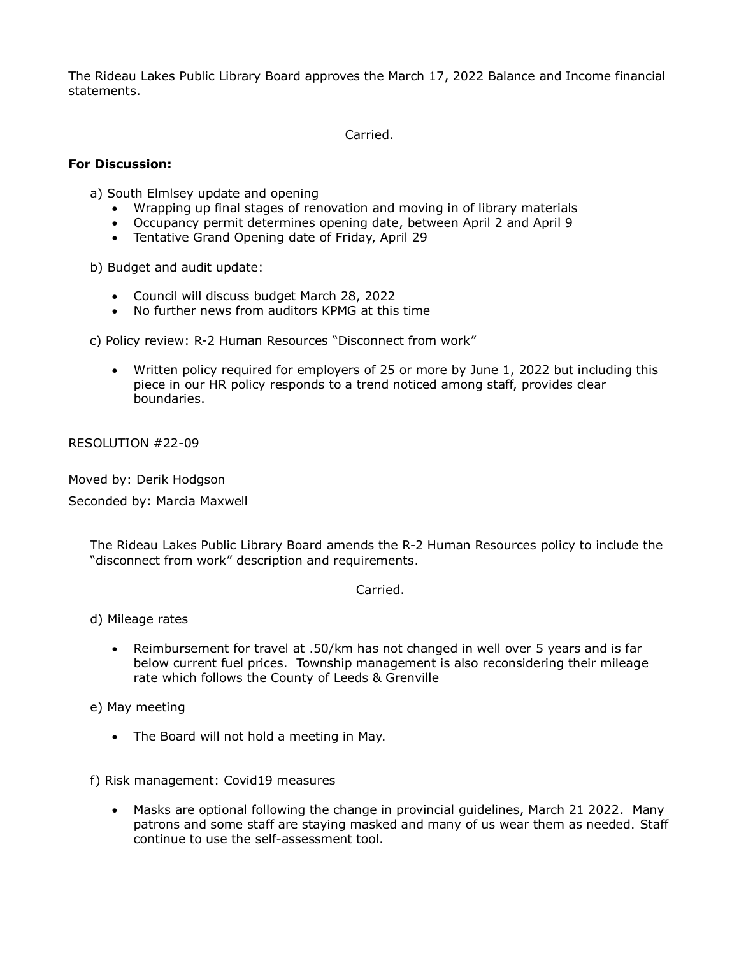The Rideau Lakes Public Library Board approves the March 17, 2022 Balance and Income financial statements.

Carried.

#### **For Discussion:**

a) South Elmlsey update and opening

- Wrapping up final stages of renovation and moving in of library materials
- Occupancy permit determines opening date, between April 2 and April 9
- Tentative Grand Opening date of Friday, April 29

b) Budget and audit update:

- Council will discuss budget March 28, 2022
- No further news from auditors KPMG at this time

c) Policy review: R-2 Human Resources "Disconnect from work"

 Written policy required for employers of 25 or more by June 1, 2022 but including this piece in our HR policy responds to a trend noticed among staff, provides clear boundaries.

RESOLUTION #22-09

Moved by: Derik Hodgson

Seconded by: Marcia Maxwell

The Rideau Lakes Public Library Board amends the R-2 Human Resources policy to include the "disconnect from work" description and requirements.

Carried.

d) Mileage rates

 Reimbursement for travel at .50/km has not changed in well over 5 years and is far below current fuel prices. Township management is also reconsidering their mileage rate which follows the County of Leeds & Grenville

e) May meeting

• The Board will not hold a meeting in May.

f) Risk management: Covid19 measures

 Masks are optional following the change in provincial guidelines, March 21 2022. Many patrons and some staff are staying masked and many of us wear them as needed. Staff continue to use the self-assessment tool.